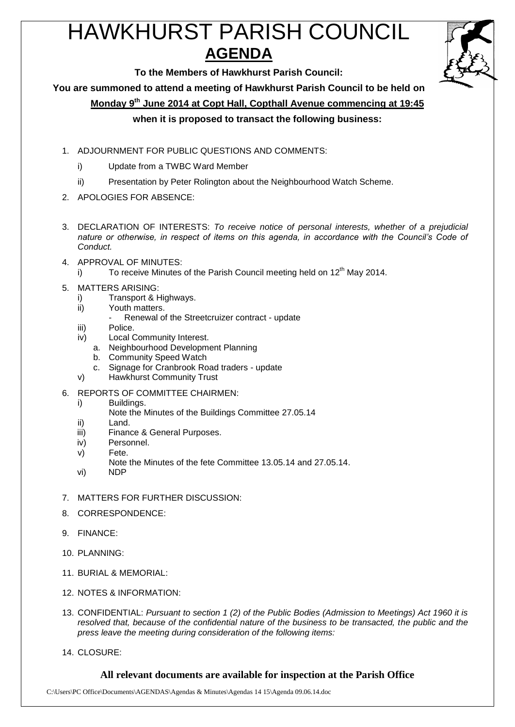# HAWKHURST PARISH COUNCIL **AGENDA**



**To the Members of Hawkhurst Parish Council:**

**You are summoned to attend a meeting of Hawkhurst Parish Council to be held on**

**Monday 9 th June 2014 at Copt Hall, Copthall Avenue commencing at 19:45**

## **when it is proposed to transact the following business:**

- 1. ADJOURNMENT FOR PUBLIC QUESTIONS AND COMMENTS:
	- i) Update from a TWBC Ward Member
	- ii) Presentation by Peter Rolington about the Neighbourhood Watch Scheme.
- 2. APOLOGIES FOR ABSENCE:
- 3. DECLARATION OF INTERESTS: *To receive notice of personal interests, whether of a prejudicial nature or otherwise, in respect of items on this agenda, in accordance with the Council's Code of Conduct.*
- 4. APPROVAL OF MINUTES:
	- i) To receive Minutes of the Parish Council meeting held on 12<sup>th</sup> May 2014.
- 5. MATTERS ARISING:
	- i) Transport & Highways.
	- ii) Youth matters.
		- Renewal of the Streetcruizer contract update
	- iii) Police.
	- iv) Local Community Interest.
		- a. Neighbourhood Development Planning
		- b. Community Speed Watch
		- c. Signage for Cranbrook Road traders update
	- v) Hawkhurst Community Trust
- 6. REPORTS OF COMMITTEE CHAIRMEN:
	- i) Buildings.
		- Note the Minutes of the Buildings Committee 27.05.14
	- ii) Land.
	- iii) Finance & General Purposes.
	- iv) Personnel.
	- v) Fete.
	- Note the Minutes of the fete Committee 13.05.14 and 27.05.14.
	- vi) NDP
- 7. MATTERS FOR FURTHER DISCUSSION:
- 8. CORRESPONDENCE:
- 9. FINANCE:
- 10. PLANNING:
- 11. BURIAL & MEMORIAL:
- 12. NOTES & INFORMATION:
- 13. CONFIDENTIAL: *Pursuant to section 1 (2) of the Public Bodies (Admission to Meetings) Act 1960 it is resolved that, because of the confidential nature of the business to be transacted, the public and the press leave the meeting during consideration of the following items:*
- 14. CLOSURE:

#### **All relevant documents are available for inspection at the Parish Office**

C:\Users\PC Office\Documents\AGENDAS\Agendas & Minutes\Agendas 14 15\Agenda 09.06.14.doc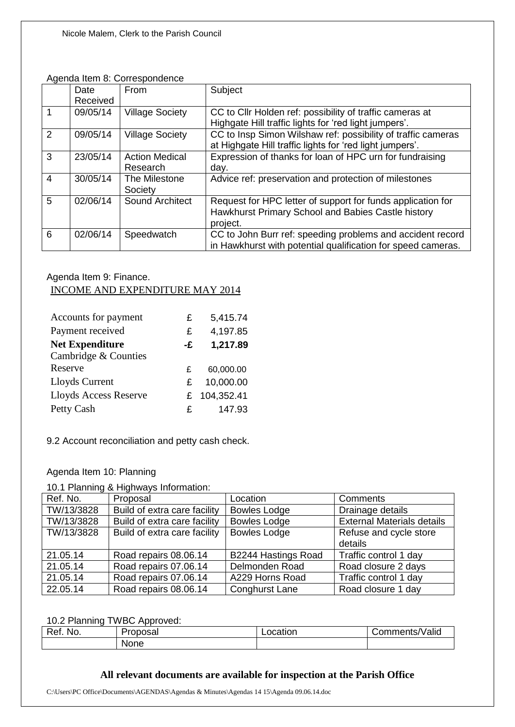#### Agenda Item 8: Correspondence

|                | Date     | From                              | Subject                                                                                                                       |
|----------------|----------|-----------------------------------|-------------------------------------------------------------------------------------------------------------------------------|
|                | Received |                                   |                                                                                                                               |
|                | 09/05/14 | <b>Village Society</b>            | CC to Cllr Holden ref: possibility of traffic cameras at<br>Highgate Hill traffic lights for 'red light jumpers'.             |
| 2              | 09/05/14 | <b>Village Society</b>            | CC to Insp Simon Wilshaw ref: possibility of traffic cameras<br>at Highgate Hill traffic lights for 'red light jumpers'.      |
| 3              | 23/05/14 | <b>Action Medical</b><br>Research | Expression of thanks for loan of HPC urn for fundraising<br>day.                                                              |
| $\overline{4}$ | 30/05/14 | The Milestone<br>Society          | Advice ref: preservation and protection of milestones                                                                         |
| 5              | 02/06/14 | Sound Architect                   | Request for HPC letter of support for funds application for<br>Hawkhurst Primary School and Babies Castle history<br>project. |
| 6              | 02/06/14 | Speedwatch                        | CC to John Burr ref: speeding problems and accident record<br>in Hawkhurst with potential qualification for speed cameras.    |

# Agenda Item 9: Finance. INCOME AND EXPENDITURE MAY 2014

| Accounts for payment   | £  | 5,415.74   |
|------------------------|----|------------|
| Payment received       | £  | 4,197.85   |
| <b>Net Expenditure</b> | -£ | 1,217.89   |
| Cambridge & Counties   |    |            |
| Reserve                | £  | 60,000.00  |
| Lloyds Current         | £  | 10,000.00  |
| Lloyds Access Reserve  | £. | 104,352.41 |
| Petty Cash             | £. | 147.93     |

9.2 Account reconciliation and petty cash check.

## Agenda Item 10: Planning

#### 10.1 Planning & Highways Information:

| Ref. No.   | Proposal                     | Location              | Comments                          |
|------------|------------------------------|-----------------------|-----------------------------------|
| TW/13/3828 | Build of extra care facility | <b>Bowles Lodge</b>   | Drainage details                  |
| TW/13/3828 | Build of extra care facility | <b>Bowles Lodge</b>   | <b>External Materials details</b> |
| TW/13/3828 | Build of extra care facility | <b>Bowles Lodge</b>   | Refuse and cycle store            |
|            |                              |                       | details                           |
| 21.05.14   | Road repairs 08.06.14        | B2244 Hastings Road   | Traffic control 1 day             |
| 21.05.14   | Road repairs 07.06.14        | Delmonden Road        | Road closure 2 days               |
| 21.05.14   | Road repairs 07.06.14        | A229 Horns Road       | Traffic control 1 day             |
| 22.05.14   | Road repairs 08.06.14        | <b>Conghurst Lane</b> | Road closure 1 day                |

#### 10.2 Planning TWBC Approved:

| Ref. | Proposal∙ | ocation | $\mathbf{A}$ $\mathbf{B}$ |
|------|-----------|---------|---------------------------|
| No.  |           | Ë       | Comments/Valid            |
|      | None      |         |                           |

# **All relevant documents are available for inspection at the Parish Office**

C:\Users\PC Office\Documents\AGENDAS\Agendas & Minutes\Agendas 14 15\Agenda 09.06.14.doc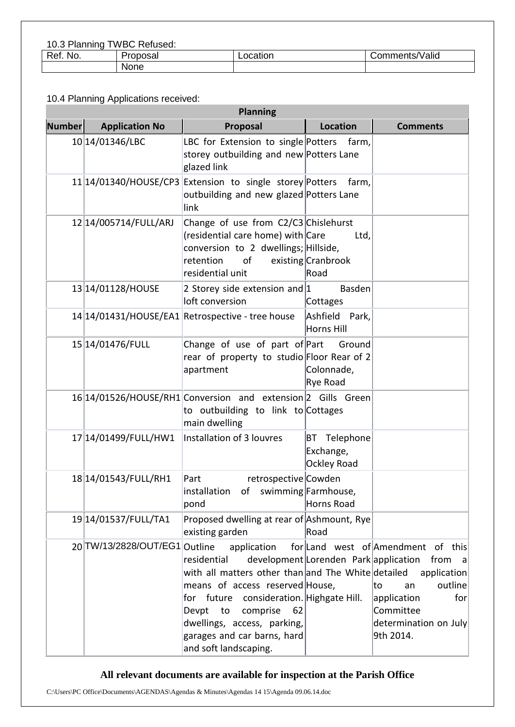10.3 Planning TWBC Refused:

| Ref.<br>NO. | Proposal | ocation | :omments/Valid<br>. . |
|-------------|----------|---------|-----------------------|
|             | None     |         |                       |

## 10.4 Planning Applications received:

| <b>Planning</b> |                               |                                                                                                                                                                                                                                                                                         |                                          |                                                                                                                                                                   |
|-----------------|-------------------------------|-----------------------------------------------------------------------------------------------------------------------------------------------------------------------------------------------------------------------------------------------------------------------------------------|------------------------------------------|-------------------------------------------------------------------------------------------------------------------------------------------------------------------|
| <b>Number</b>   | <b>Application No</b>         | Proposal                                                                                                                                                                                                                                                                                | <b>Location</b>                          | <b>Comments</b>                                                                                                                                                   |
|                 | 10 14/01346/LBC               | LBC for Extension to single Potters<br>storey outbuilding and new Potters Lane<br>glazed link                                                                                                                                                                                           | farm,                                    |                                                                                                                                                                   |
|                 |                               | 11 14/01340/HOUSE/CP3 Extension to single storey Potters<br>outbuilding and new glazed Potters Lane<br>link                                                                                                                                                                             | farm,                                    |                                                                                                                                                                   |
|                 | 12 14/005714/FULL/ARJ         | Change of use from C2/C3 Chislehurst<br>(residential care home) with Care<br>conversion to 2 dwellings; Hillside,<br>retention<br>of<br>residential unit                                                                                                                                | Ltd,<br>existing Cranbrook<br>Road       |                                                                                                                                                                   |
|                 | 13 14/01128/HOUSE             | 2 Storey side extension and $1$<br>loft conversion                                                                                                                                                                                                                                      | Basden<br>Cottages                       |                                                                                                                                                                   |
|                 |                               | 14 14/01431/HOUSE/EA1 Retrospective - tree house                                                                                                                                                                                                                                        | Ashfield Park,<br>Horns Hill             |                                                                                                                                                                   |
|                 | 15 14/01476/FULL              | Change of use of part of Part<br>rear of property to studio Floor Rear of 2<br>apartment                                                                                                                                                                                                | Ground<br>Colonnade,<br>Rye Road         |                                                                                                                                                                   |
|                 |                               | 16 14/01526/HOUSE/RH1 Conversion and extension 2 Gills Green<br>to outbuilding to link to Cottages<br>main dwelling                                                                                                                                                                     |                                          |                                                                                                                                                                   |
|                 | 17 14/01499/FULL/HW1          | Installation of 3 louvres                                                                                                                                                                                                                                                               | BT Telephone<br>Exchange,<br>Ockley Road |                                                                                                                                                                   |
|                 | 18 14/01543/FULL/RH1          | Part<br>retrospective Cowden<br> installation of swimming Farmhouse,<br>pond                                                                                                                                                                                                            | Horns Road                               |                                                                                                                                                                   |
|                 | 1914/01537/FULL/TA1           | Proposed dwelling at rear of Ashmount, Rye<br>existing garden                                                                                                                                                                                                                           | Road                                     |                                                                                                                                                                   |
|                 | 20 TW/13/2828/OUT/EG1 Outline | application<br>residential<br>with all matters other than and The White detailed<br>means of access reserved House,<br>for future consideration. Highgate Hill.<br>Devpt<br>to<br>comprise<br>62<br>dwellings, access, parking,<br>garages and car barns, hard<br>and soft landscaping. | development Lorenden Park application    | for Land west of Amendment of this<br>from<br> a <br>application<br>outline<br>lto<br>an<br>application<br>for<br>Committee<br>determination on July<br>9th 2014. |

# **All relevant documents are available for inspection at the Parish Office**

C:\Users\PC Office\Documents\AGENDAS\Agendas & Minutes\Agendas 14 15\Agenda 09.06.14.doc